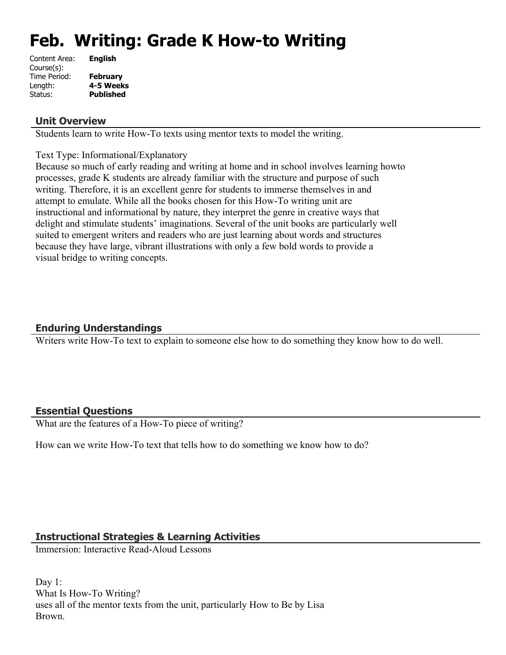# **Feb. Writing: Grade K How-to Writing**

| Content Area: | <b>English</b>   |
|---------------|------------------|
| Course(s):    |                  |
| Time Period:  | <b>February</b>  |
| Length:       | 4-5 Weeks        |
| Status:       | <b>Published</b> |
|               |                  |

#### **Unit Overview**

Students learn to write How-To texts using mentor texts to model the writing.

Text Type: Informational/Explanatory

Because so much of early reading and writing at home and in school involves learning howto processes, grade K students are already familiar with the structure and purpose of such writing. Therefore, it is an excellent genre for students to immerse themselves in and attempt to emulate. While all the books chosen for this How-To writing unit are instructional and informational by nature, they interpret the genre in creative ways that delight and stimulate students' imaginations. Several of the unit books are particularly well suited to emergent writers and readers who are just learning about words and structures because they have large, vibrant illustrations with only a few bold words to provide a visual bridge to writing concepts.

## **Enduring Understandings**

Writers write How-To text to explain to someone else how to do something they know how to do well.

#### **Essential Questions**

What are the features of a How-To piece of writing?

How can we write How-To text that tells how to do something we know how to do?

#### **Instructional Strategies & Learning Activities**

Immersion: Interactive Read-Aloud Lessons

Day 1: What Is How-To Writing? uses all of the mentor texts from the unit, particularly How to Be by Lisa Brown.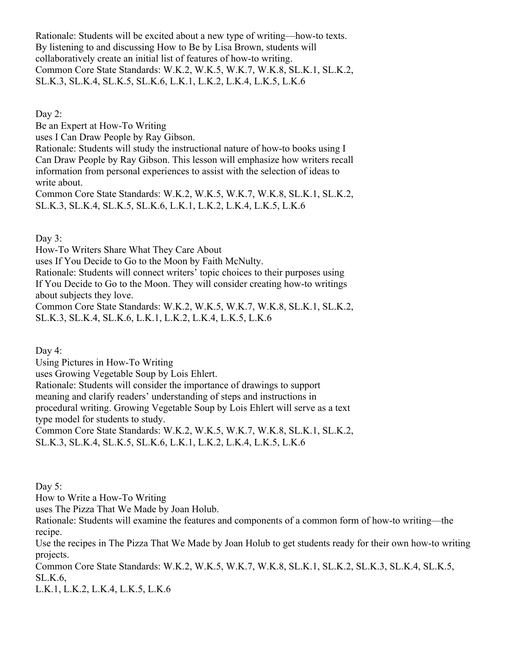Rationale: Students will be excited about a new type of writing—how-to texts. By listening to and discussing How to Be by Lisa Brown, students will collaboratively create an initial list of features of how-to writing. Common Core State Standards: W.K.2, W.K.5, W.K.7, W.K.8, SL.K.1, SL.K.2, SL.K.3, SL.K.4, SL.K.5, SL.K.6, L.K.1, L.K.2, L.K.4, L.K.5, L.K.6

Day 2:

Be an Expert at How-To Writing

uses I Can Draw People by Ray Gibson.

Rationale: Students will study the instructional nature of how-to books using I Can Draw People by Ray Gibson. This lesson will emphasize how writers recall information from personal experiences to assist with the selection of ideas to write about.

Common Core State Standards: W.K.2, W.K.5, W.K.7, W.K.8, SL.K.1, SL.K.2, SL.K.3, SL.K.4, SL.K.5, SL.K.6, L.K.1, L.K.2, L.K.4, L.K.5, L.K.6

Day  $3$ :

How-To Writers Share What They Care About

uses If You Decide to Go to the Moon by Faith McNulty.

Rationale: Students will connect writers' topic choices to their purposes using If You Decide to Go to the Moon. They will consider creating how-to writings about subjects they love.

Common Core State Standards: W.K.2, W.K.5, W.K.7, W.K.8, SL.K.1, SL.K.2, SL.K.3, SL.K.4, SL.K.6, L.K.1, L.K.2, L.K.4, L.K.5, L.K.6

Day 4:

Using Pictures in How-To Writing

uses Growing Vegetable Soup by Lois Ehlert.

Rationale: Students will consider the importance of drawings to support

meaning and clarify readers' understanding of steps and instructions in

procedural writing. Growing Vegetable Soup by Lois Ehlert will serve as a text type model for students to study.

Common Core State Standards: W.K.2, W.K.5, W.K.7, W.K.8, SL.K.1, SL.K.2, SL.K.3, SL.K.4, SL.K.5, SL.K.6, L.K.1, L.K.2, L.K.4, L.K.5, L.K.6

Day 5:

How to Write a How-To Writing

uses The Pizza That We Made by Joan Holub.

Rationale: Students will examine the features and components of a common form of how-to writing—the recipe.

Use the recipes in The Pizza That We Made by Joan Holub to get students ready for their own how-to writing projects.

Common Core State Standards: W.K.2, W.K.5, W.K.7, W.K.8, SL.K.1, SL.K.2, SL.K.3, SL.K.4, SL.K.5, SL.K.6,

L.K.1, L.K.2, L.K.4, L.K.5, L.K.6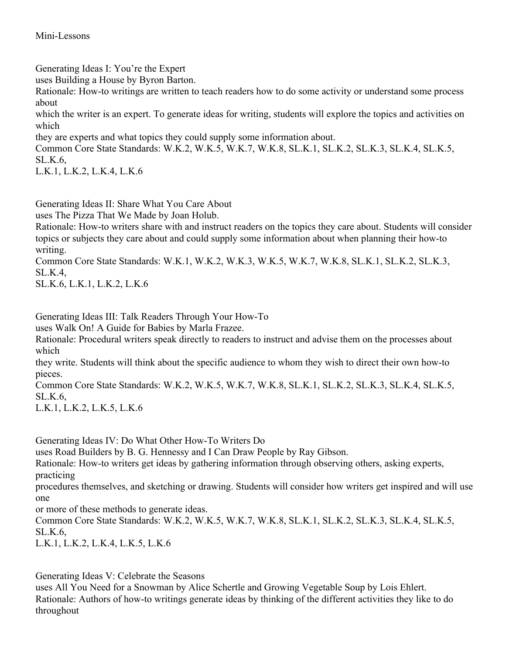Generating Ideas I: You're the Expert

uses Building a House by Byron Barton.

Rationale: How-to writings are written to teach readers how to do some activity or understand some process about

which the writer is an expert. To generate ideas for writing, students will explore the topics and activities on which

they are experts and what topics they could supply some information about.

Common Core State Standards: W.K.2, W.K.5, W.K.7, W.K.8, SL.K.1, SL.K.2, SL.K.3, SL.K.4, SL.K.5, SL.K.6,

L.K.1, L.K.2, L.K.4, L.K.6

Generating Ideas II: Share What You Care About

uses The Pizza That We Made by Joan Holub.

Rationale: How-to writers share with and instruct readers on the topics they care about. Students will consider topics or subjects they care about and could supply some information about when planning their how-to writing.

Common Core State Standards: W.K.1, W.K.2, W.K.3, W.K.5, W.K.7, W.K.8, SL.K.1, SL.K.2, SL.K.3, SL.K.4,

SL.K.6, L.K.1, L.K.2, L.K.6

Generating Ideas III: Talk Readers Through Your How-To

uses Walk On! A Guide for Babies by Marla Frazee.

Rationale: Procedural writers speak directly to readers to instruct and advise them on the processes about which

they write. Students will think about the specific audience to whom they wish to direct their own how-to pieces.

Common Core State Standards: W.K.2, W.K.5, W.K.7, W.K.8, SL.K.1, SL.K.2, SL.K.3, SL.K.4, SL.K.5, SL.K.6,

L.K.1, L.K.2, L.K.5, L.K.6

Generating Ideas IV: Do What Other How-To Writers Do

uses Road Builders by B. G. Hennessy and I Can Draw People by Ray Gibson.

Rationale: How-to writers get ideas by gathering information through observing others, asking experts, practicing

procedures themselves, and sketching or drawing. Students will consider how writers get inspired and will use one

or more of these methods to generate ideas.

Common Core State Standards: W.K.2, W.K.5, W.K.7, W.K.8, SL.K.1, SL.K.2, SL.K.3, SL.K.4, SL.K.5, SL.K.6,

L.K.1, L.K.2, L.K.4, L.K.5, L.K.6

Generating Ideas V: Celebrate the Seasons

uses All You Need for a Snowman by Alice Schertle and Growing Vegetable Soup by Lois Ehlert. Rationale: Authors of how-to writings generate ideas by thinking of the different activities they like to do throughout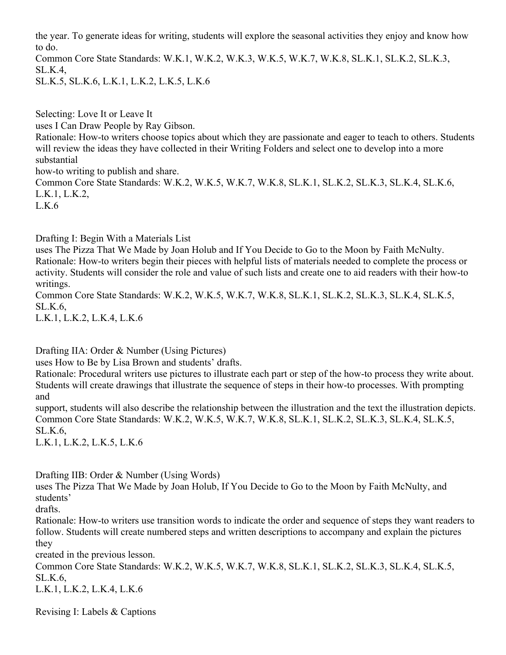the year. To generate ideas for writing, students will explore the seasonal activities they enjoy and know how to do.

Common Core State Standards: W.K.1, W.K.2, W.K.3, W.K.5, W.K.7, W.K.8, SL.K.1, SL.K.2, SL.K.3, SL.K.4,

SL.K.5, SL.K.6, L.K.1, L.K.2, L.K.5, L.K.6

Selecting: Love It or Leave It uses I Can Draw People by Ray Gibson. Rationale: How-to writers choose topics about which they are passionate and eager to teach to others. Students will review the ideas they have collected in their Writing Folders and select one to develop into a more substantial how-to writing to publish and share. Common Core State Standards: W.K.2, W.K.5, W.K.7, W.K.8, SL.K.1, SL.K.2, SL.K.3, SL.K.4, SL.K.6, L.K.1, L.K.2, L.K.6

Drafting I: Begin With a Materials List

uses The Pizza That We Made by Joan Holub and If You Decide to Go to the Moon by Faith McNulty. Rationale: How-to writers begin their pieces with helpful lists of materials needed to complete the process or activity. Students will consider the role and value of such lists and create one to aid readers with their how-to writings.

Common Core State Standards: W.K.2, W.K.5, W.K.7, W.K.8, SL.K.1, SL.K.2, SL.K.3, SL.K.4, SL.K.5, SL.K.6,

L.K.1, L.K.2, L.K.4, L.K.6

Drafting IIA: Order & Number (Using Pictures)

uses How to Be by Lisa Brown and students' drafts.

Rationale: Procedural writers use pictures to illustrate each part or step of the how-to process they write about. Students will create drawings that illustrate the sequence of steps in their how-to processes. With prompting and

support, students will also describe the relationship between the illustration and the text the illustration depicts. Common Core State Standards: W.K.2, W.K.5, W.K.7, W.K.8, SL.K.1, SL.K.2, SL.K.3, SL.K.4, SL.K.5, SL.K.6,

L.K.1, L.K.2, L.K.5, L.K.6

Drafting IIB: Order & Number (Using Words)

uses The Pizza That We Made by Joan Holub, If You Decide to Go to the Moon by Faith McNulty, and students'

drafts.

Rationale: How-to writers use transition words to indicate the order and sequence of steps they want readers to follow. Students will create numbered steps and written descriptions to accompany and explain the pictures they

created in the previous lesson.

Common Core State Standards: W.K.2, W.K.5, W.K.7, W.K.8, SL.K.1, SL.K.2, SL.K.3, SL.K.4, SL.K.5, SL.K.6,

L.K.1, L.K.2, L.K.4, L.K.6

Revising I: Labels & Captions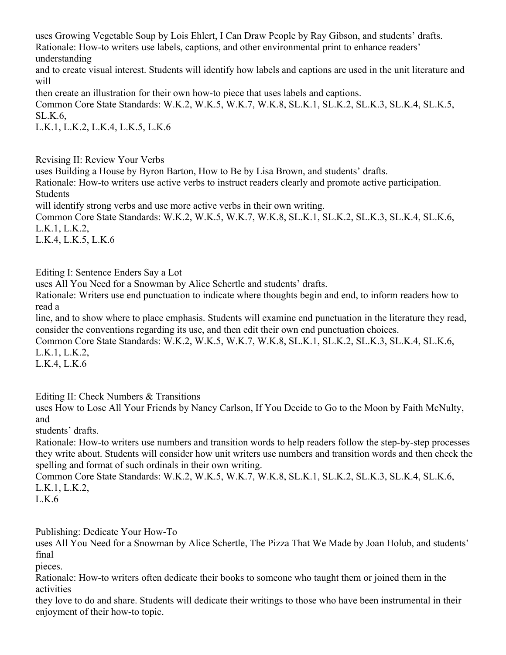uses Growing Vegetable Soup by Lois Ehlert, I Can Draw People by Ray Gibson, and students' drafts. Rationale: How-to writers use labels, captions, and other environmental print to enhance readers' understanding

and to create visual interest. Students will identify how labels and captions are used in the unit literature and will

then create an illustration for their own how-to piece that uses labels and captions.

Common Core State Standards: W.K.2, W.K.5, W.K.7, W.K.8, SL.K.1, SL.K.2, SL.K.3, SL.K.4, SL.K.5, SL.K.6,

L.K.1, L.K.2, L.K.4, L.K.5, L.K.6

Revising II: Review Your Verbs

uses Building a House by Byron Barton, How to Be by Lisa Brown, and students' drafts. Rationale: How-to writers use active verbs to instruct readers clearly and promote active participation. Students will identify strong verbs and use more active verbs in their own writing.

Common Core State Standards: W.K.2, W.K.5, W.K.7, W.K.8, SL.K.1, SL.K.2, SL.K.3, SL.K.4, SL.K.6, L.K.1, L.K.2,

L.K.4, L.K.5, L.K.6

Editing I: Sentence Enders Say a Lot

uses All You Need for a Snowman by Alice Schertle and students' drafts.

Rationale: Writers use end punctuation to indicate where thoughts begin and end, to inform readers how to read a

line, and to show where to place emphasis. Students will examine end punctuation in the literature they read, consider the conventions regarding its use, and then edit their own end punctuation choices.

Common Core State Standards: W.K.2, W.K.5, W.K.7, W.K.8, SL.K.1, SL.K.2, SL.K.3, SL.K.4, SL.K.6, L.K.1, L.K.2,

L.K.4, L.K.6

Editing II: Check Numbers & Transitions

uses How to Lose All Your Friends by Nancy Carlson, If You Decide to Go to the Moon by Faith McNulty, and

students' drafts.

Rationale: How-to writers use numbers and transition words to help readers follow the step-by-step processes they write about. Students will consider how unit writers use numbers and transition words and then check the spelling and format of such ordinals in their own writing.

Common Core State Standards: W.K.2, W.K.5, W.K.7, W.K.8, SL.K.1, SL.K.2, SL.K.3, SL.K.4, SL.K.6, L.K.1, L.K.2,

L.K.6

Publishing: Dedicate Your How-To

uses All You Need for a Snowman by Alice Schertle, The Pizza That We Made by Joan Holub, and students' final

pieces.

Rationale: How-to writers often dedicate their books to someone who taught them or joined them in the activities

they love to do and share. Students will dedicate their writings to those who have been instrumental in their enjoyment of their how-to topic.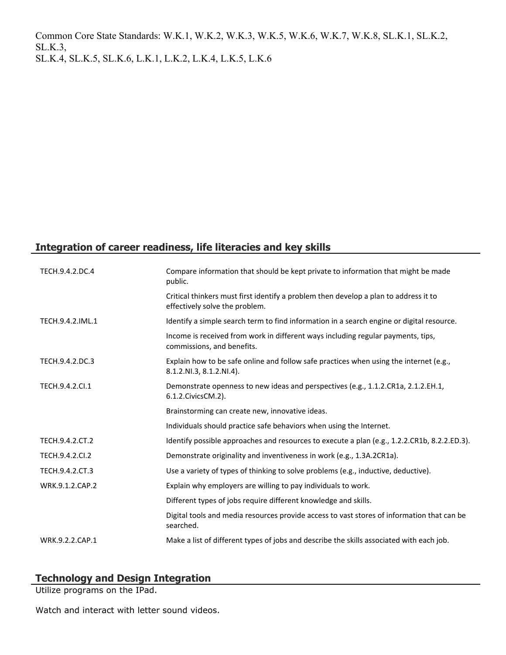Common Core State Standards: W.K.1, W.K.2, W.K.3, W.K.5, W.K.6, W.K.7, W.K.8, SL.K.1, SL.K.2, SL.K.3, SL.K.4, SL.K.5, SL.K.6, L.K.1, L.K.2, L.K.4, L.K.5, L.K.6

## **Integration of career readiness, life literacies and key skills**

| TECH.9.4.2.DC.4  | Compare information that should be kept private to information that might be made<br>public.                           |
|------------------|------------------------------------------------------------------------------------------------------------------------|
|                  | Critical thinkers must first identify a problem then develop a plan to address it to<br>effectively solve the problem. |
| TECH.9.4.2.IML.1 | Identify a simple search term to find information in a search engine or digital resource.                              |
|                  | Income is received from work in different ways including regular payments, tips,<br>commissions, and benefits.         |
| TECH.9.4.2.DC.3  | Explain how to be safe online and follow safe practices when using the internet (e.g.,<br>8.1.2.NI.3, 8.1.2.NI.4).     |
| TECH.9.4.2.CI.1  | Demonstrate openness to new ideas and perspectives (e.g., 1.1.2.CR1a, 2.1.2.EH.1,<br>6.1.2. Civics CM. 2).             |
|                  | Brainstorming can create new, innovative ideas.                                                                        |
|                  | Individuals should practice safe behaviors when using the Internet.                                                    |
| TECH.9.4.2.CT.2  | Identify possible approaches and resources to execute a plan (e.g., 1.2.2.CR1b, 8.2.2.ED.3).                           |
| TECH.9.4.2.CI.2  | Demonstrate originality and inventiveness in work (e.g., 1.3A.2CR1a).                                                  |
| TECH.9.4.2.CT.3  | Use a variety of types of thinking to solve problems (e.g., inductive, deductive).                                     |
| WRK.9.1.2.CAP.2  | Explain why employers are willing to pay individuals to work.                                                          |
|                  | Different types of jobs require different knowledge and skills.                                                        |
|                  | Digital tools and media resources provide access to vast stores of information that can be<br>searched.                |
| WRK.9.2.2.CAP.1  | Make a list of different types of jobs and describe the skills associated with each job.                               |

## **Technology and Design Integration**

Utilize programs on the IPad.

Watch and interact with letter sound videos.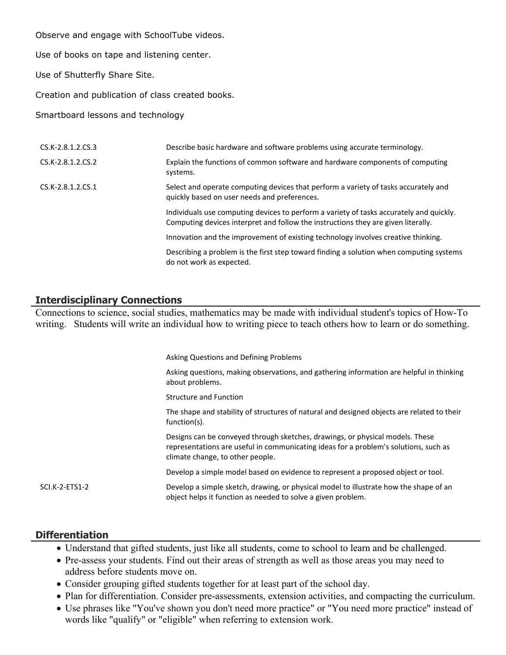Observe and engage with SchoolTube videos.

Use of books on tape and listening center.

Use of Shutterfly Share Site.

Creation and publication of class created books.

Smartboard lessons and technology

| CS.K-2.8.1.2.CS.3 | Describe basic hardware and software problems using accurate terminology.                                                                                                    |
|-------------------|------------------------------------------------------------------------------------------------------------------------------------------------------------------------------|
| CS.K-2.8.1.2.CS.2 | Explain the functions of common software and hardware components of computing<br>systems.                                                                                    |
| CS.K-2.8.1.2.CS.1 | Select and operate computing devices that perform a variety of tasks accurately and<br>quickly based on user needs and preferences.                                          |
|                   | Individuals use computing devices to perform a variety of tasks accurately and quickly.<br>Computing devices interpret and follow the instructions they are given literally. |
|                   | Innovation and the improvement of existing technology involves creative thinking.                                                                                            |
|                   | Describing a problem is the first step toward finding a solution when computing systems<br>do not work as expected.                                                          |

#### **Interdisciplinary Connections**

Connections to science, social studies, mathematics may be made with individual student's topics of How-To writing. Students will write an individual how to writing piece to teach others how to learn or do something.

|                | Asking Questions and Defining Problems                                                                                                                                                                    |
|----------------|-----------------------------------------------------------------------------------------------------------------------------------------------------------------------------------------------------------|
|                | Asking questions, making observations, and gathering information are helpful in thinking<br>about problems.                                                                                               |
|                | <b>Structure and Function</b>                                                                                                                                                                             |
|                | The shape and stability of structures of natural and designed objects are related to their<br>function(s).                                                                                                |
|                | Designs can be conveyed through sketches, drawings, or physical models. These<br>representations are useful in communicating ideas for a problem's solutions, such as<br>climate change, to other people. |
|                | Develop a simple model based on evidence to represent a proposed object or tool.                                                                                                                          |
| SCI.K-2-ETS1-2 | Develop a simple sketch, drawing, or physical model to illustrate how the shape of an<br>object helps it function as needed to solve a given problem.                                                     |

#### **Differentiation**

- Understand that gifted students, just like all students, come to school to learn and be challenged.
- Pre-assess your students. Find out their areas of strength as well as those areas you may need to address before students move on.
- Consider grouping gifted students together for at least part of the school day.
- Plan for differentiation. Consider pre-assessments, extension activities, and compacting the curriculum.
- Use phrases like "You've shown you don't need more practice" or "You need more practice" instead of words like "qualify" or "eligible" when referring to extension work.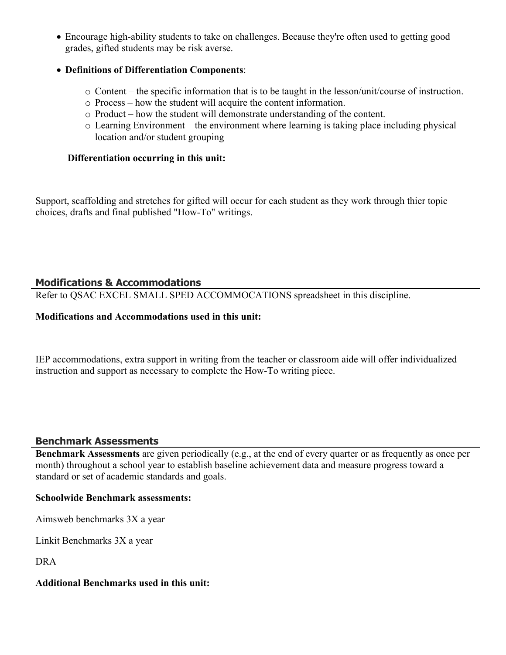Encourage high-ability students to take on challenges. Because they're often used to getting good grades, gifted students may be risk averse.

#### **Definitions of Differentiation Components**:

- o Content the specific information that is to be taught in the lesson/unit/course of instruction.
- o Process how the student will acquire the content information.
- o Product how the student will demonstrate understanding of the content.
- o Learning Environment the environment where learning is taking place including physical location and/or student grouping

#### **Differentiation occurring in this unit:**

Support, scaffolding and stretches for gifted will occur for each student as they work through thier topic choices, drafts and final published "How-To" writings.

## **Modifications & Accommodations**

Refer to QSAC EXCEL SMALL SPED ACCOMMOCATIONS spreadsheet in this discipline.

#### **Modifications and Accommodations used in this unit:**

IEP accommodations, extra support in writing from the teacher or classroom aide will offer individualized instruction and support as necessary to complete the How-To writing piece.

## **Benchmark Assessments**

**Benchmark Assessments** are given periodically (e.g., at the end of every quarter or as frequently as once per month) throughout a school year to establish baseline achievement data and measure progress toward a standard or set of academic standards and goals.

#### **Schoolwide Benchmark assessments:**

Aimsweb benchmarks 3X a year

Linkit Benchmarks 3X a year

DRA

#### **Additional Benchmarks used in this unit:**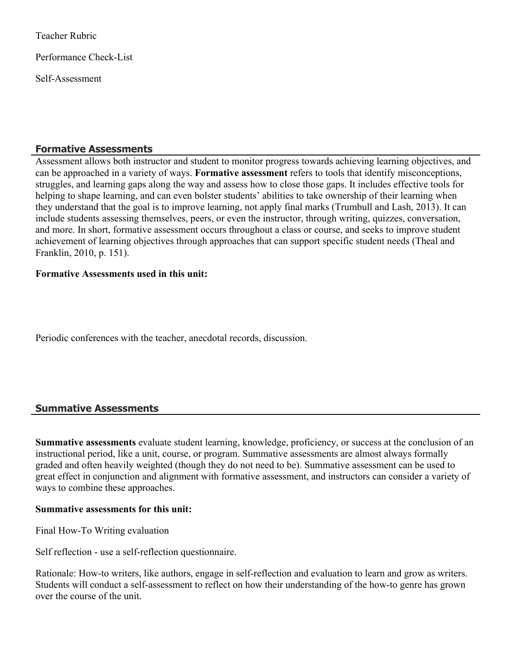Teacher Rubric

Performance Check-List

Self-Assessment

#### **Formative Assessments**

Assessment allows both instructor and student to monitor progress towards achieving learning objectives, and can be approached in a variety of ways. **Formative assessment** refers to tools that identify misconceptions, struggles, and learning gaps along the way and assess how to close those gaps. It includes effective tools for helping to shape learning, and can even bolster students' abilities to take ownership of their learning when they understand that the goal is to improve learning, not apply final marks (Trumbull and Lash, 2013). It can include students assessing themselves, peers, or even the instructor, through writing, quizzes, conversation, and more. In short, formative assessment occurs throughout a class or course, and seeks to improve student achievement of learning objectives through approaches that can support specific student needs (Theal and Franklin, 2010, p. 151).

#### **Formative Assessments used in this unit:**

Periodic conferences with the teacher, anecdotal records, discussion.

## **Summative Assessments**

**Summative assessments** evaluate student learning, knowledge, proficiency, or success at the conclusion of an instructional period, like a unit, course, or program. Summative assessments are almost always formally graded and often heavily weighted (though they do not need to be). Summative assessment can be used to great effect in conjunction and alignment with formative assessment, and instructors can consider a variety of ways to combine these approaches.

#### **Summative assessments for this unit:**

Final How-To Writing evaluation

Self reflection - use a self-reflection questionnaire.

Rationale: How-to writers, like authors, engage in self-reflection and evaluation to learn and grow as writers. Students will conduct a self-assessment to reflect on how their understanding of the how-to genre has grown over the course of the unit.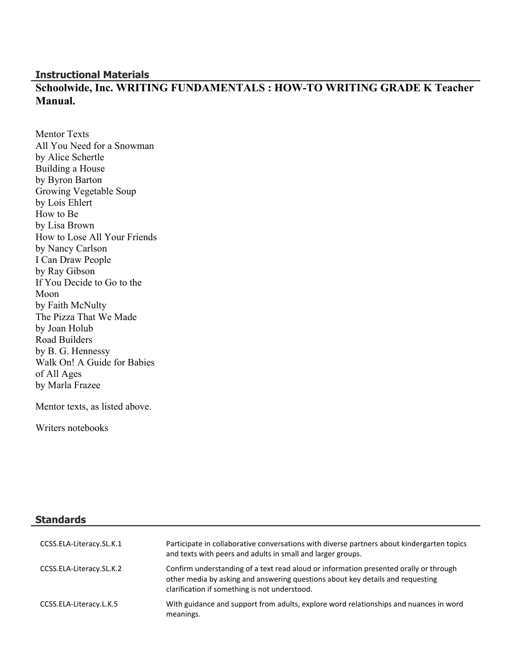#### **Instructional Materials**

# **Schoolwide, Inc. WRITING FUNDAMENTALS : HOW-TO WRITING GRADE K Teacher Manual.**

Mentor Texts All You Need for a Snowman by Alice Schertle Building a House by Byron Barton Growing Vegetable Soup by Lois Ehlert How to Be by Lisa Brown How to Lose All Your Friends by Nancy Carlson I Can Draw People by Ray Gibson If You Decide to Go to the Moon by Faith McNulty The Pizza That We Made by Joan Holub Road Builders by B. G. Hennessy Walk On! A Guide for Babies of All Ages by Marla Frazee

Mentor texts, as listed above.

Writers notebooks

**Standards**

| CCSS.ELA-Literacy.SL.K.1 | Participate in collaborative conversations with diverse partners about kindergarten topics<br>and texts with peers and adults in small and larger groups.                                                                |
|--------------------------|--------------------------------------------------------------------------------------------------------------------------------------------------------------------------------------------------------------------------|
| CCSS.ELA-Literacy.SL.K.2 | Confirm understanding of a text read aloud or information presented orally or through<br>other media by asking and answering questions about key details and requesting<br>clarification if something is not understood. |
| CCSS.ELA-Literacy.L.K.5  | With guidance and support from adults, explore word relationships and nuances in word<br>meanings.                                                                                                                       |